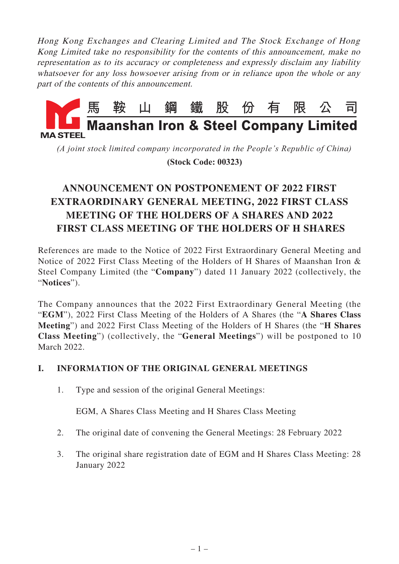Hong Kong Exchanges and Clearing Limited and The Stock Exchange of Hong Kong Limited take no responsibility for the contents of this announcement, make no representation as to its accuracy or completeness and expressly disclaim any liability whatsoever for any loss howsoever arising from or in reliance upon the whole or any part of the contents of this announcement.



*(A joint stock limited company incorporated in the People's Republic of China)*

 **(Stock Code: 00323)**

# **ANNOUNCEMENT ON POSTPONEMENT OF 2022 FIRST EXTRAORDINARY GENERAL MEETING, 2022 FIRST CLASS MEETING OF THE HOLDERS OF A SHARES AND 2022 FIRST CLASS MEETING OF THE HOLDERS OF H SHARES**

References are made to the Notice of 2022 First Extraordinary General Meeting and Notice of 2022 First Class Meeting of the Holders of H Shares of Maanshan Iron & Steel Company Limited (the "**Company**") dated 11 January 2022 (collectively, the "**Notices**").

The Company announces that the 2022 First Extraordinary General Meeting (the "**EGM**"), 2022 First Class Meeting of the Holders of A Shares (the "**A Shares Class Meeting**") and 2022 First Class Meeting of the Holders of H Shares (the "**H Shares Class Meeting**") (collectively, the "**General Meetings**") will be postponed to 10 March 2022.

# **I. INFORMATION OF THE ORIGINAL GENERAL MEETINGS**

1. Type and session of the original General Meetings:

EGM, A Shares Class Meeting and H Shares Class Meeting

- 2. The original date of convening the General Meetings: 28 February 2022
- 3. The original share registration date of EGM and H Shares Class Meeting: 28 January 2022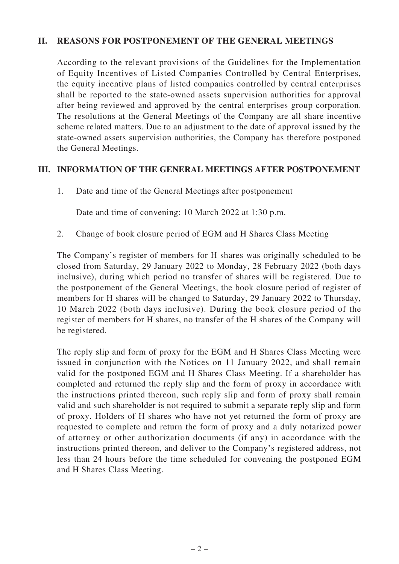### **II. REASONS FOR POSTPONEMENT OF THE GENERAL MEETINGS**

According to the relevant provisions of the Guidelines for the Implementation of Equity Incentives of Listed Companies Controlled by Central Enterprises, the equity incentive plans of listed companies controlled by central enterprises shall be reported to the state-owned assets supervision authorities for approval after being reviewed and approved by the central enterprises group corporation. The resolutions at the General Meetings of the Company are all share incentive scheme related matters. Due to an adjustment to the date of approval issued by the state-owned assets supervision authorities, the Company has therefore postponed the General Meetings.

### **III. INFORMATION OF THE GENERAL MEETINGS AFTER POSTPONEMENT**

1. Date and time of the General Meetings after postponement

Date and time of convening: 10 March 2022 at 1:30 p.m.

2. Change of book closure period of EGM and H Shares Class Meeting

The Company's register of members for H shares was originally scheduled to be closed from Saturday, 29 January 2022 to Monday, 28 February 2022 (both days inclusive), during which period no transfer of shares will be registered. Due to the postponement of the General Meetings, the book closure period of register of members for H shares will be changed to Saturday, 29 January 2022 to Thursday, 10 March 2022 (both days inclusive). During the book closure period of the register of members for H shares, no transfer of the H shares of the Company will be registered.

The reply slip and form of proxy for the EGM and H Shares Class Meeting were issued in conjunction with the Notices on 11 January 2022, and shall remain valid for the postponed EGM and H Shares Class Meeting. If a shareholder has completed and returned the reply slip and the form of proxy in accordance with the instructions printed thereon, such reply slip and form of proxy shall remain valid and such shareholder is not required to submit a separate reply slip and form of proxy. Holders of H shares who have not yet returned the form of proxy are requested to complete and return the form of proxy and a duly notarized power of attorney or other authorization documents (if any) in accordance with the instructions printed thereon, and deliver to the Company's registered address, not less than 24 hours before the time scheduled for convening the postponed EGM and H Shares Class Meeting.